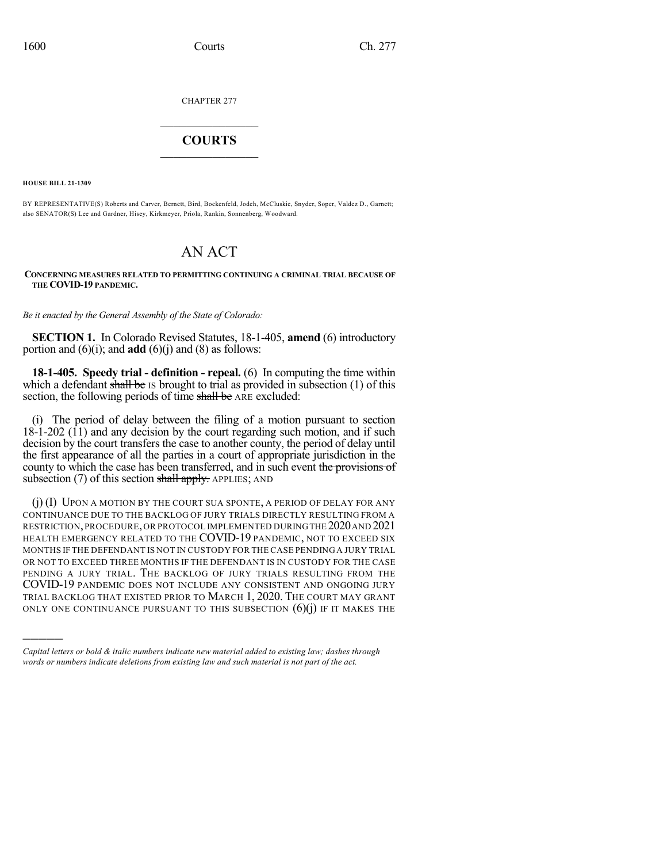CHAPTER 277

## $\mathcal{L}_\text{max}$  . The set of the set of the set of the set of the set of the set of the set of the set of the set of the set of the set of the set of the set of the set of the set of the set of the set of the set of the set **COURTS**  $\_$   $\_$   $\_$   $\_$   $\_$   $\_$   $\_$   $\_$

**HOUSE BILL 21-1309**

)))))

BY REPRESENTATIVE(S) Roberts and Carver, Bernett, Bird, Bockenfeld, Jodeh, McCluskie, Snyder, Soper, Valdez D., Garnett; also SENATOR(S) Lee and Gardner, Hisey, Kirkmeyer, Priola, Rankin, Sonnenberg, Woodward.

## AN ACT

## **CONCERNING MEASURES RELATED TO PERMITTING CONTINUING A CRIMINAL TRIAL BECAUSE OF THE COVID-19 PANDEMIC.**

*Be it enacted by the General Assembly of the State of Colorado:*

**SECTION 1.** In Colorado Revised Statutes, 18-1-405, **amend** (6) introductory portion and  $(6)(i)$ ; and **add**  $(6)(j)$  and  $(8)$  as follows:

**18-1-405. Speedy trial - definition - repeal.** (6) In computing the time within which a defendant shall be IS brought to trial as provided in subsection  $(1)$  of this section, the following periods of time shall be ARE excluded:

(i) The period of delay between the filing of a motion pursuant to section  $18-1-202$  (11) and any decision by the court regarding such motion, and if such decision by the court transfers the case to another county, the period of delay until the first appearance of all the parties in a court of appropriate jurisdiction in the county to which the case has been transferred, and in such event the provisions of subsection  $(7)$  of this section shall apply. APPLIES; AND

(j) (I) UPON A MOTION BY THE COURT SUA SPONTE, A PERIOD OF DELAY FOR ANY CONTINUANCE DUE TO THE BACKLOG OF JURY TRIALS DIRECTLY RESULTING FROM A RESTRICTION,PROCEDURE,OR PROTOCOL IMPLEMENTED DURINGTHE 2020AND 2021 HEALTH EMERGENCY RELATED TO THE COVID-19 PANDEMIC, NOT TO EXCEED SIX MONTHS IF THE DEFENDANT IS NOT IN CUSTODY FOR THE CASE PENDING A JURY TRIAL OR NOT TO EXCEED THREE MONTHS IF THE DEFENDANT IS IN CUSTODY FOR THE CASE PENDING A JURY TRIAL. THE BACKLOG OF JURY TRIALS RESULTING FROM THE COVID-19 PANDEMIC DOES NOT INCLUDE ANY CONSISTENT AND ONGOING JURY TRIAL BACKLOG THAT EXISTED PRIOR TO MARCH 1, 2020. THE COURT MAY GRANT ONLY ONE CONTINUANCE PURSUANT TO THIS SUBSECTION  $(6)(j)$  if it makes the

*Capital letters or bold & italic numbers indicate new material added to existing law; dashes through words or numbers indicate deletions from existing law and such material is not part of the act.*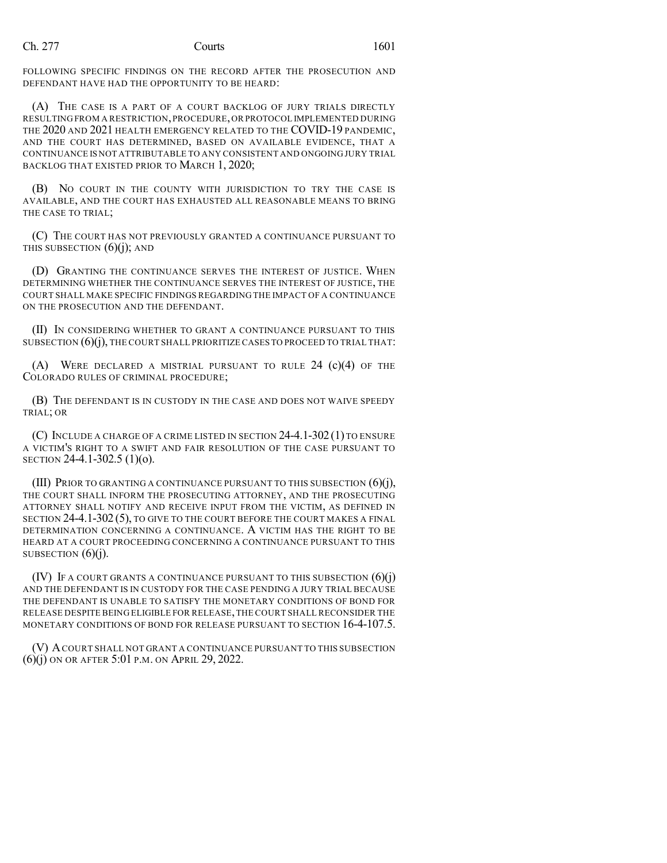FOLLOWING SPECIFIC FINDINGS ON THE RECORD AFTER THE PROSECUTION AND DEFENDANT HAVE HAD THE OPPORTUNITY TO BE HEARD:

(A) THE CASE IS A PART OF A COURT BACKLOG OF JURY TRIALS DIRECTLY RESULTING FROM A RESTRICTION,PROCEDURE,OR PROTOCOL IMPLEMENTED DURING THE 2020 AND 2021 HEALTH EMERGENCY RELATED TO THE COVID-19 PANDEMIC, AND THE COURT HAS DETERMINED, BASED ON AVAILABLE EVIDENCE, THAT A CONTINUANCE IS NOT ATTRIBUTABLE TO ANY CONSISTENT AND ONGOING JURY TRIAL BACKLOG THAT EXISTED PRIOR TO MARCH 1, 2020;

(B) NO COURT IN THE COUNTY WITH JURISDICTION TO TRY THE CASE IS AVAILABLE, AND THE COURT HAS EXHAUSTED ALL REASONABLE MEANS TO BRING THE CASE TO TRIAL;

(C) THE COURT HAS NOT PREVIOUSLY GRANTED A CONTINUANCE PURSUANT TO THIS SUBSECTION  $(6)(i)$ ; AND

(D) GRANTING THE CONTINUANCE SERVES THE INTEREST OF JUSTICE. WHEN DETERMINING WHETHER THE CONTINUANCE SERVES THE INTEREST OF JUSTICE, THE COURT SHALL MAKE SPECIFIC FINDINGS REGARDING THE IMPACT OF A CONTINUANCE ON THE PROSECUTION AND THE DEFENDANT.

(II) IN CONSIDERING WHETHER TO GRANT A CONTINUANCE PURSUANT TO THIS SUBSECTION  $(6)(j)$ , THE COURT SHALL PRIORITIZE CASES TO PROCEED TO TRIAL THAT:

(A) WERE DECLARED A MISTRIAL PURSUANT TO RULE  $24$  (c)(4) OF THE COLORADO RULES OF CRIMINAL PROCEDURE;

(B) THE DEFENDANT IS IN CUSTODY IN THE CASE AND DOES NOT WAIVE SPEEDY TRIAL; OR

(C) INCLUDE A CHARGE OF A CRIME LISTED IN SECTION 24-4.1-302(1) TO ENSURE A VICTIM'S RIGHT TO A SWIFT AND FAIR RESOLUTION OF THE CASE PURSUANT TO SECTION 24-4.1-302.5 (1)(o).

(III) PRIOR TO GRANTING A CONTINUANCE PURSUANT TO THIS SUBSECTION (6)(j), THE COURT SHALL INFORM THE PROSECUTING ATTORNEY, AND THE PROSECUTING ATTORNEY SHALL NOTIFY AND RECEIVE INPUT FROM THE VICTIM, AS DEFINED IN SECTION 24-4.1-302 (5), TO GIVE TO THE COURT BEFORE THE COURT MAKES A FINAL DETERMINATION CONCERNING A CONTINUANCE. A VICTIM HAS THE RIGHT TO BE HEARD AT A COURT PROCEEDING CONCERNING A CONTINUANCE PURSUANT TO THIS SUBSECTION  $(6)(i)$ .

 $(V)$  If a court grants a continuance pursuant to this subsection  $(6)(i)$ AND THE DEFENDANT IS IN CUSTODY FOR THE CASE PENDING A JURY TRIAL BECAUSE THE DEFENDANT IS UNABLE TO SATISFY THE MONETARY CONDITIONS OF BOND FOR RELEASE DESPITE BEING ELIGIBLE FOR RELEASE,THE COURT SHALL RECONSIDER THE MONETARY CONDITIONS OF BOND FOR RELEASE PURSUANT TO SECTION 16-4-107.5.

(V) ACOURT SHALL NOT GRANT A CONTINUANCE PURSUANT TO THIS SUBSECTION (6)(j) ON OR AFTER 5:01 P.M. ON APRIL 29, 2022.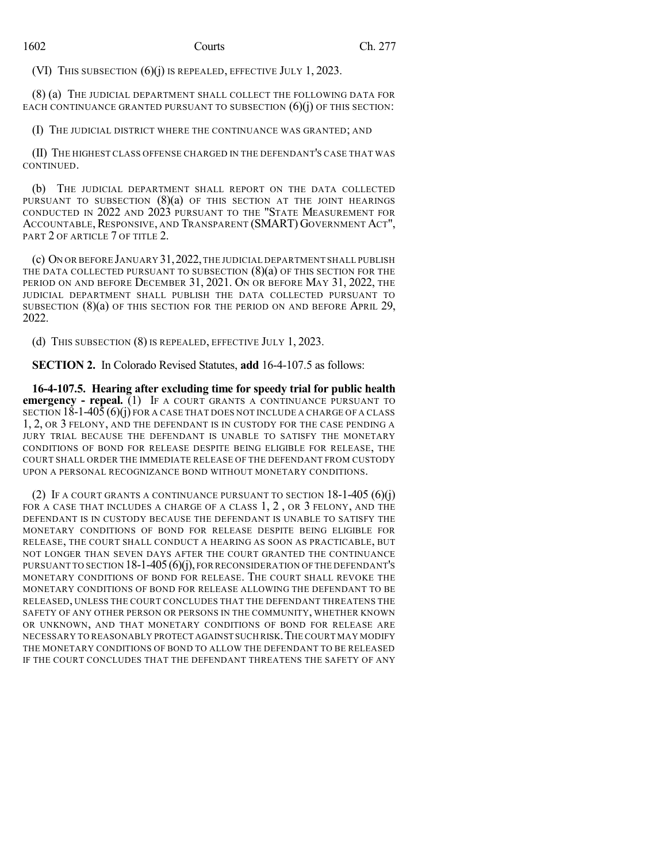(VI) THIS SUBSECTION (6)(j) IS REPEALED, EFFECTIVE JULY 1, 2023.

(8) (a) THE JUDICIAL DEPARTMENT SHALL COLLECT THE FOLLOWING DATA FOR EACH CONTINUANCE GRANTED PURSUANT TO SUBSECTION  $(6)(i)$  OF THIS SECTION:

(I) THE JUDICIAL DISTRICT WHERE THE CONTINUANCE WAS GRANTED; AND

(II) THE HIGHEST CLASS OFFENSE CHARGED IN THE DEFENDANT'S CASE THAT WAS CONTINUED.

(b) THE JUDICIAL DEPARTMENT SHALL REPORT ON THE DATA COLLECTED PURSUANT TO SUBSECTION  $(8)(a)$  of this section at the joint hearings CONDUCTED IN 2022 AND 2023 PURSUANT TO THE "STATE MEASUREMENT FOR ACCOUNTABLE,RESPONSIVE, AND TRANSPARENT (SMART) GOVERNMENT ACT", PART 2 OF ARTICLE 7 OF TITLE 2.

(c) ON OR BEFORE JANUARY 31,2022,THE JUDICIAL DEPARTMENT SHALL PUBLISH THE DATA COLLECTED PURSUANT TO SUBSECTION  $(8)(a)$  OF THIS SECTION FOR THE PERIOD ON AND BEFORE DECEMBER 31, 2021. ON OR BEFORE MAY 31, 2022, THE JUDICIAL DEPARTMENT SHALL PUBLISH THE DATA COLLECTED PURSUANT TO SUBSECTION (8)(a) OF THIS SECTION FOR THE PERIOD ON AND BEFORE APRIL 29, 2022.

(d) THIS SUBSECTION (8) IS REPEALED, EFFECTIVE JULY 1, 2023.

**SECTION 2.** In Colorado Revised Statutes, **add** 16-4-107.5 as follows:

**16-4-107.5. Hearing after excluding time for speedy trial for public health emergency - repeal.** (1) IF A COURT GRANTS A CONTINUANCE PURSUANT TO SECTION  $18-1-405(6)(i)$  FOR A CASE THAT DOES NOT INCLUDE A CHARGE OF A CLASS 1, 2, OR 3 FELONY, AND THE DEFENDANT IS IN CUSTODY FOR THE CASE PENDING A JURY TRIAL BECAUSE THE DEFENDANT IS UNABLE TO SATISFY THE MONETARY CONDITIONS OF BOND FOR RELEASE DESPITE BEING ELIGIBLE FOR RELEASE, THE COURT SHALL ORDER THE IMMEDIATE RELEASE OF THE DEFENDANT FROM CUSTODY UPON A PERSONAL RECOGNIZANCE BOND WITHOUT MONETARY CONDITIONS.

(2) IF A COURT GRANTS A CONTINUANCE PURSUANT TO SECTION  $18-1-405$  (6)(j) FOR A CASE THAT INCLUDES A CHARGE OF A CLASS 1, 2, OR 3 FELONY, AND THE DEFENDANT IS IN CUSTODY BECAUSE THE DEFENDANT IS UNABLE TO SATISFY THE MONETARY CONDITIONS OF BOND FOR RELEASE DESPITE BEING ELIGIBLE FOR RELEASE, THE COURT SHALL CONDUCT A HEARING AS SOON AS PRACTICABLE, BUT NOT LONGER THAN SEVEN DAYS AFTER THE COURT GRANTED THE CONTINUANCE PURSUANT TO SECTION  $18$ -1-405 (6)(j), FOR RECONSIDERATION OF THE DEFENDANT'S MONETARY CONDITIONS OF BOND FOR RELEASE. THE COURT SHALL REVOKE THE MONETARY CONDITIONS OF BOND FOR RELEASE ALLOWING THE DEFENDANT TO BE RELEASED, UNLESS THE COURT CONCLUDES THAT THE DEFENDANT THREATENS THE SAFETY OF ANY OTHER PERSON OR PERSONS IN THE COMMUNITY, WHETHER KNOWN OR UNKNOWN, AND THAT MONETARY CONDITIONS OF BOND FOR RELEASE ARE NECESSARY TO REASONABLY PROTECT AGAINST SUCH RISK.THE COURT MAY MODIFY THE MONETARY CONDITIONS OF BOND TO ALLOW THE DEFENDANT TO BE RELEASED IF THE COURT CONCLUDES THAT THE DEFENDANT THREATENS THE SAFETY OF ANY